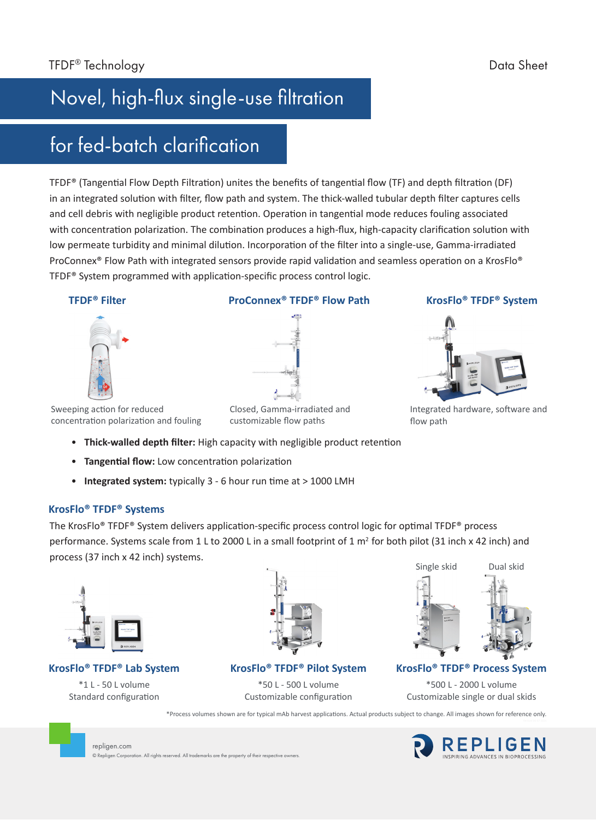# Novel, high-flux single-use filtration

### for fed-batch clarification

TFDF® (Tangential Flow Depth Filtration) unites the benefits of tangential flow (TF) and depth filtration (DF) in an integrated solution with filter, flow path and system. The thick-walled tubular depth filter captures cells and cell debris with negligible product retention. Operation in tangential mode reduces fouling associated with concentration polarization. The combination produces a high-flux, high-capacity clarification solution with low permeate turbidity and minimal dilution. Incorporation of the filter into a single-use, Gamma-irradiated ProConnex<sup>®</sup> Flow Path with integrated sensors provide rapid validation and seamless operation on a KrosFlo<sup>®</sup> TFDF® System programmed with application-specific process control logic.

#### **TFDF® Filter**



#### **ProConnex® TFDF® Flow Path**



#### **KrosFlo® TFDF® System**



Integrated hardware, software and flow path

Sweeping action for reduced concentration polarization and fouling

Closed, Gamma-irradiated and customizable flow paths

- **Thick-walled depth filter:** High capacity with negligible product retention
- **Tangential flow:** Low concentration polarization
- **Integrated system:** typically 3 6 hour run time at > 1000 LMH

© Repligen Corporation. All rights reserved. All trademarks are the property of their respective owners.

#### **KrosFlo® TFDF® Systems**

The KrosFlo® TFDF® System delivers application-specific process control logic for optimal TFDF® process performance. Systems scale from 1 L to 2000 L in a small footprint of 1  $m<sup>2</sup>$  for both pilot (31 inch x 42 inch) and process (37 inch x 42 inch) systems.



#### **KrosFlo® TFDF® Lab System**

\*1 L - 50 L volume Standard configuration

repligen.com



**KrosFlo® TFDF® Pilot System**

\*50 L - 500 L volume Customizable configuration



#### **KrosFlo® TFDF® Process System**

\*500 L - 2000 L volume Customizable single or dual skids

\*Process volumes shown are for typical mAb harvest applications. Actual products subject to change. All images shown for reference only.

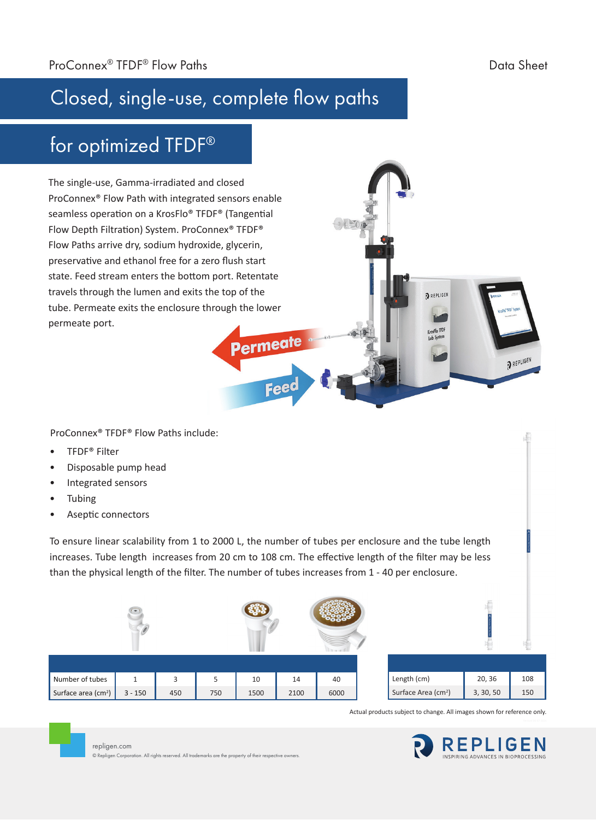PREPLIGEN

# Closed, single-use, complete flow paths

### for optimized TFDF®

The single-use, Gamma-irradiated and closed ProConnex® Flow Path with integrated sensors enable seamless operation on a KrosFlo® TFDF® (Tangential Flow Depth Filtration) System. ProConnex® TFDF® Flow Paths arrive dry, sodium hydroxide, glycerin, preservative and ethanol free for a zero flush start state. Feed stream enters the bottom port. Retentate travels through the lumen and exits the top of the tube. Permeate exits the enclosure through the lower permeate port.

ProConnex® TFDF® Flow Paths include:

- TFDF® Filter
- Disposable pump head
- Integrated sensors
- **Tubing**
- Aseptic connectors

repligen.com

© Repligen Corporation. All rights reserved. All trademarks are the property of their respective owners.

To ensure linear scalability from 1 to 2000 L, the number of tubes per enclosure and the tube length increases. Tube length increases from 20 cm to 108 cm. The effective length of the filter may be less than the physical length of the filter. The number of tubes increases from 1 - 40 per enclosure.

Permeate

Feed



Actual products subject to change. All images shown for reference only.

REPLIGEN

rosFlo TFDF

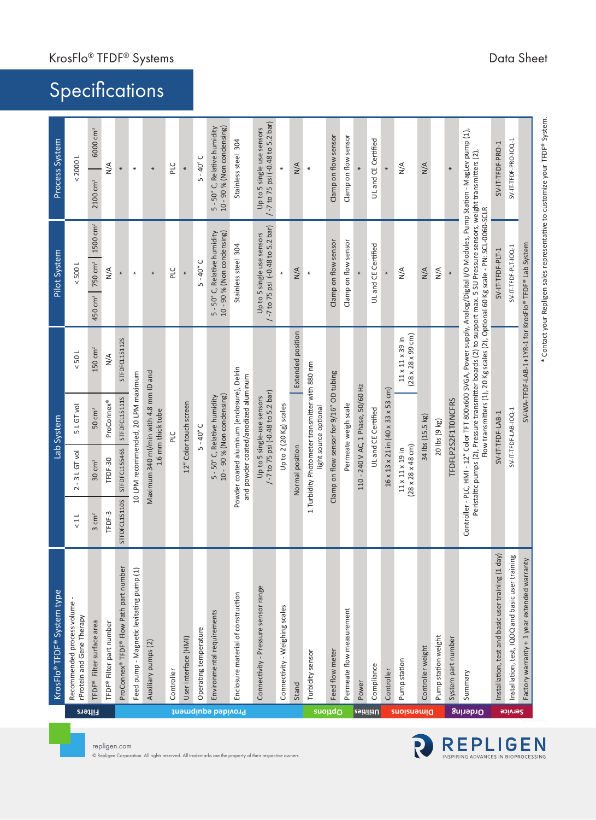|                    | KrosFlo <sup>®</sup> TFDF <sup>®</sup> System type      |                  |                                                              | Lab System                                                                        |                                                                      | Pilot System                                                                                                                                                                                                                                                                                                                                |                      | Process System                                             |                                  |
|--------------------|---------------------------------------------------------|------------------|--------------------------------------------------------------|-----------------------------------------------------------------------------------|----------------------------------------------------------------------|---------------------------------------------------------------------------------------------------------------------------------------------------------------------------------------------------------------------------------------------------------------------------------------------------------------------------------------------|----------------------|------------------------------------------------------------|----------------------------------|
| Filters            | Recommended process volume<br>rProtein and Gene Therapy | 11               | $2 - 3$ L GT vol                                             | 5 L GT vol                                                                        | 105                                                                  | < 5001                                                                                                                                                                                                                                                                                                                                      |                      | < 20001                                                    |                                  |
|                    | TFDF® Filter surface area                               | $3 \text{ cm}^2$ | $30 \text{ cm}^2$                                            | $50 \text{ cm}^2$                                                                 | $150 \text{ cm}^2$                                                   | 750 cm <sup>2</sup><br>450 cm <sup>2</sup>                                                                                                                                                                                                                                                                                                  | 1500 cm <sup>2</sup> | 2100 cm <sup>2</sup>                                       | 6000 cm <sup>2</sup>             |
|                    | TFDF® Filter part number                                | TFDF-3           | TFDF-30                                                      | ProConnex®                                                                        | $\frac{4}{\sqrt{2}}$                                                 | $\frac{4}{\sqrt{2}}$                                                                                                                                                                                                                                                                                                                        |                      | $\frac{4}{2}$                                              |                                  |
|                    | ProConnex® TFDF® Flow Path part number                  | STFDFCL15110S    | STFDFCL15546S                                                | STFDFCL15111S                                                                     | STFDFCL15112S                                                        | *                                                                                                                                                                                                                                                                                                                                           |                      | ¥                                                          |                                  |
|                    | Feed pump - Magnetic levitating pump (1)                |                  |                                                              | 10 LPM recommended, 20 LPM maximum                                                |                                                                      | $\ast$                                                                                                                                                                                                                                                                                                                                      |                      | $\ast$                                                     |                                  |
|                    | Auxiliary pumps (2)                                     |                  |                                                              | Maximum 340 ml/min with 4.8 mm ID and<br>1.6 mm thick tube                        |                                                                      | $\ast$                                                                                                                                                                                                                                                                                                                                      |                      | $\ast$                                                     |                                  |
|                    | Controller                                              |                  |                                                              | PLC                                                                               |                                                                      | PLC                                                                                                                                                                                                                                                                                                                                         |                      | PLC                                                        |                                  |
|                    | User interface (HMI)                                    |                  |                                                              | 12" Color touch screen                                                            |                                                                      | $*$                                                                                                                                                                                                                                                                                                                                         |                      | *                                                          |                                  |
|                    | Operating temperature                                   |                  |                                                              | $5 - 40^\circ C$                                                                  |                                                                      | $5 - 40^{\circ}$ C                                                                                                                                                                                                                                                                                                                          |                      | $5 - 40^\circ C$                                           |                                  |
| Provided equipment | Environmental requirements                              |                  |                                                              | 10 - 90 % (Non condensing)<br>5 - 50° C, Relative humidity                        |                                                                      | 10 - 90 % (Non condensing)<br>5 - 50° C, Relative humidity                                                                                                                                                                                                                                                                                  |                      | 5 - 50° C, Relative humidity<br>10 - 90 % (Non condensing) |                                  |
|                    | Enclosure material of construction                      |                  |                                                              | Powder coated aluminum (enclosure), Delrin<br>and powder coated/anodized aluminum |                                                                      | Stainless steel 304                                                                                                                                                                                                                                                                                                                         |                      | Stainless steel 304                                        |                                  |
|                    | Connectivity - Pressure sensor range                    |                  |                                                              | -7 to 75 psi (-0.48 to 5.2 bar)<br>Up to 5 single-use sensors                     |                                                                      | /-7 to 75 psi (-0.48 to 5.2 bar)<br>Up to 5 single use sensors                                                                                                                                                                                                                                                                              |                      | Up to 5 single use sensors                                 | /-7 to 75 psi (-0.48 to 5.2 bar) |
|                    | Connectivity - Weighing scales                          |                  |                                                              | Up to 2 (20 Kg) scales                                                            |                                                                      | ¥                                                                                                                                                                                                                                                                                                                                           |                      | $\ast$                                                     |                                  |
|                    | Stand                                                   |                  | Normal position                                              |                                                                                   | Extended position                                                    | N/A                                                                                                                                                                                                                                                                                                                                         |                      | N/A                                                        |                                  |
| <b>suoudo</b>      | Turbidity sensor                                        |                  |                                                              | 1 Turbidity Photometer transmitter with 880 nm<br>light source optional           |                                                                      | $\ast$                                                                                                                                                                                                                                                                                                                                      |                      | X                                                          |                                  |
|                    | Feed flow meter                                         |                  |                                                              | Clamp on flow sensor for 9/16" OD tubing                                          |                                                                      | Clamp on flow sensor                                                                                                                                                                                                                                                                                                                        |                      | Clamp on flow sensor                                       |                                  |
|                    | Permeate flow measurement                               |                  |                                                              | Permeate weigh scale                                                              |                                                                      | Clamp on flow sensor                                                                                                                                                                                                                                                                                                                        |                      | Clamp on flow sensor                                       |                                  |
| <u>veitilitU</u>   | Power                                                   |                  |                                                              | 110 - 240 V AC, 1 Phase, 50/60 Hz                                                 |                                                                      |                                                                                                                                                                                                                                                                                                                                             |                      |                                                            |                                  |
|                    | Compliance                                              |                  |                                                              | UL and CE Certified                                                               |                                                                      | UL and CE Certified                                                                                                                                                                                                                                                                                                                         |                      | UL and CE Certified                                        |                                  |
|                    | Controller                                              |                  |                                                              | $16 \times 13 \times 21$ in $(40 \times 33 \times 53$ cm)                         |                                                                      | $\ast$                                                                                                                                                                                                                                                                                                                                      |                      | $\ast$                                                     |                                  |
| <b>Suoisuamid</b>  | Pump station                                            |                  | $(28 \times 28 \times 48$ cm)<br>$11 \times 11 \times 19$ in |                                                                                   | $(28 \times 28 \times 99 \text{ cm})$<br>$11 \times 11 \times 39$ in | $\frac{4}{2}$                                                                                                                                                                                                                                                                                                                               |                      | $\frac{4}{2}$                                              |                                  |
|                    | Controller weight                                       |                  |                                                              | 34 lbs (15.5 kg)                                                                  |                                                                      | $\frac{4}{\sqrt{2}}$                                                                                                                                                                                                                                                                                                                        |                      | $\frac{4}{\sqrt{2}}$                                       |                                  |
|                    | Pump station weight                                     |                  |                                                              | 20 lbs (9 kg)                                                                     |                                                                      | $\frac{4}{\sqrt{2}}$                                                                                                                                                                                                                                                                                                                        |                      |                                                            |                                  |
|                    | System part number                                      |                  |                                                              | TFDFLP2S2F1T0NCFRS                                                                |                                                                      | ×                                                                                                                                                                                                                                                                                                                                           |                      |                                                            |                                  |
| Ordering           | Summary                                                 |                  |                                                              |                                                                                   |                                                                      | Controller - PLC, HMI - 12" Color TFT 800x600 SVGA, Power supply, Analog/Digital I/O Modules, Pump Station - MagLev pump (1),<br>Peristaltic pumps (2), Pressure transmitter boards (2) to support max. 5 SU Pressure sensors, weight transmitters (2)<br>Flow transmitters (1), 20 Kg scales (2), Optional 60 Kg scale - PN: SCL-0060-SCLR |                      |                                                            |                                  |
|                    | Installation, test and basic user training (1 day)      |                  |                                                              | $SV-IT-TFDF-LAB-1$                                                                |                                                                      | SV-IT-TFDF-PLT-1                                                                                                                                                                                                                                                                                                                            |                      | SV-IT-TFDF-PRO-1                                           |                                  |
| Service            | Installation, test, IQOQ and basic user training        |                  |                                                              | SV-IT-TFDF-LAB-IOQ-1                                                              |                                                                      | SV-IT-TFDF-PLT-IOQ-1                                                                                                                                                                                                                                                                                                                        |                      | SV-IT-TFDF-PRO-IOQ-1                                       |                                  |
|                    | Factory warranty + 1 year extended warranty             |                  |                                                              |                                                                                   |                                                                      | SV-WA-TFDF-LAB-1+1YR-1 for KrosFlo® TFDF® Lab System                                                                                                                                                                                                                                                                                        |                      |                                                            |                                  |

# **Specifications**

KrosFlo® TFDF® Systems and the state of the state of the Sheet Data Sheet Data Sheet

\* Contact your Repligen sales representative to customize your TFDF® System.

\* Contact your Repligen sales representative to customize your TFDF® System.

REPLIGEN

R

repligen.com © Repligen Corporation. All rights reserved. All trademarks are the property of their respective owners.